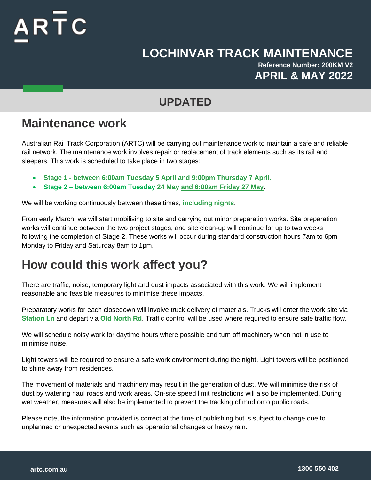## $AR\bar{T}C$

### **LOCHINVAR TRACK MAINTENANCE**

**Reference Number: 200KM V2 APRIL & MAY 2022**

#### **UPDATED**

#### **Maintenance work**

Australian Rail Track Corporation (ARTC) will be carrying out maintenance work to maintain a safe and reliable rail network. The maintenance work involves repair or replacement of track elements such as its rail and sleepers. This work is scheduled to take place in two stages:

- **Stage 1 - between 6:00am Tuesday 5 April and 9:00pm Thursday 7 April.**
- **Stage 2 – between 6:00am Tuesday 24 May and 6:00am Friday 27 May**.

We will be working continuously between these times, **including nights**.

From early March, we will start mobilising to site and carrying out minor preparation works. Site preparation works will continue between the two project stages, and site clean-up will continue for up to two weeks following the completion of Stage 2. These works will occur during standard construction hours 7am to 6pm Monday to Friday and Saturday 8am to 1pm.

### **How could this work affect you?**

There are traffic, noise, temporary light and dust impacts associated with this work. We will implement reasonable and feasible measures to minimise these impacts.

Preparatory works for each closedown will involve truck delivery of materials. Trucks will enter the work site via **Station Ln** and depart via **Old North Rd**. Traffic control will be used where required to ensure safe traffic flow.

We will schedule noisy work for daytime hours where possible and turn off machinery when not in use to minimise noise.

Light towers will be required to ensure a safe work environment during the night. Light towers will be positioned to shine away from residences.

The movement of materials and machinery may result in the generation of dust. We will minimise the risk of dust by watering haul roads and work areas. On-site speed limit restrictions will also be implemented. During wet weather, measures will also be implemented to prevent the tracking of mud onto public roads.

Please note, the information provided is correct at the time of publishing but is subject to change due to unplanned or unexpected events such as operational changes or heavy rain.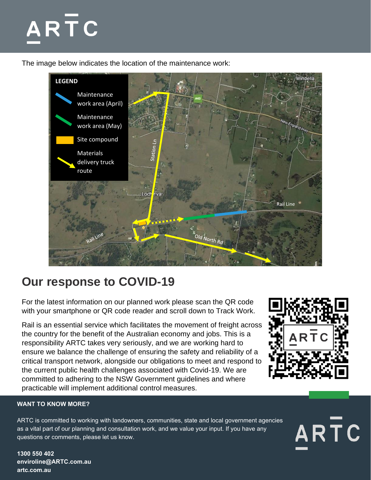# ARTC

The image below indicates the location of the maintenance work:



### **Our response to COVID-19**

For the latest information on our planned work please scan the QR code with your smartphone or QR code reader and scroll down to Track Work.

Rail is an essential service which facilitates the movement of freight across the country for the benefit of the Australian economy and jobs. This is a responsibility ARTC takes very seriously, and we are working hard to ensure we balance the challenge of ensuring the safety and reliability of a critical transport network, alongside our obligations to meet and respond to the current public health challenges associated with Covid-19. We are committed to adhering to the NSW Government guidelines and where practicable will implement additional control measures.



ARTC

#### **WANT TO KNOW MORE?**

ARTC is committed to working with landowners, communities, state and local government agencies as a vital part of our planning and consultation work, and we value your input. If you have any questions or comments, please let us know.

**1300 550 402 enviroline@ARTC.com.au artc.com.au**